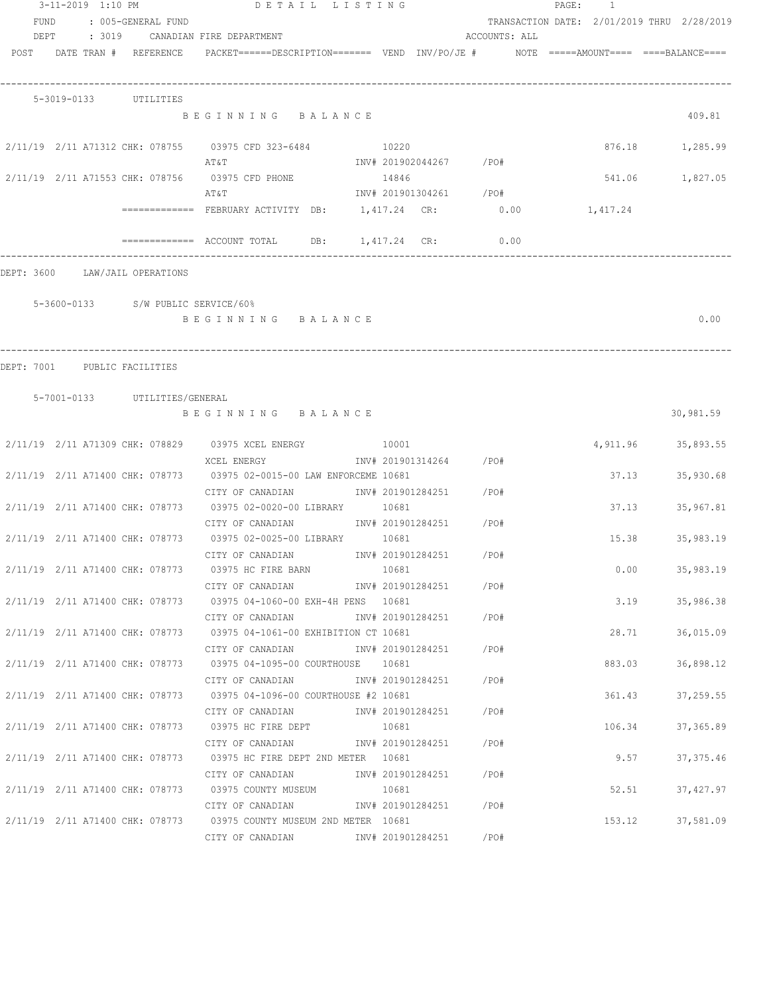|      | 3-11-2019 1:10 PM |                                    | DETAIL LISTING                                                                                                                          |  |                         |               | PAGE: 1 |        |                                            |
|------|-------------------|------------------------------------|-----------------------------------------------------------------------------------------------------------------------------------------|--|-------------------------|---------------|---------|--------|--------------------------------------------|
| FUND |                   | : 005-GENERAL FUND                 |                                                                                                                                         |  |                         |               |         |        | TRANSACTION DATE: 2/01/2019 THRU 2/28/2019 |
|      |                   |                                    | DEPT : 3019 CANADIAN FIRE DEPARTMENT                                                                                                    |  |                         | ACCOUNTS: ALL |         |        |                                            |
|      |                   | POST DATE TRAN # REFERENCE         | PACKET======DESCRIPTION======= VEND INV/PO/JE #    NOTE =====AMOUNT==== ====BALANCE====                                                 |  |                         |               |         |        |                                            |
|      |                   | 5-3019-0133 UTILITIES              |                                                                                                                                         |  |                         |               |         |        |                                            |
|      |                   |                                    | BEGINNING BALANCE                                                                                                                       |  |                         |               |         |        | 409.81                                     |
|      |                   |                                    | 2/11/19 2/11 A71312 CHK: 078755 03975 CFD 323-6484 10220<br>AT&T                                                                        |  | INV# 201902044267 /PO#  |               |         |        | 876.18 1,285.99                            |
|      |                   |                                    | 2/11/19 2/11 A71553 CHK: 078756 03975 CFD PHONE 14846<br>AΤ&Τ                                                                           |  | INV# 201901304261 /PO#  |               |         | 541.06 | 1,827.05                                   |
|      |                   |                                    | ============= FEBRUARY ACTIVITY DB: 1,417.24 CR: 0.00 1,417.24                                                                          |  |                         |               |         |        |                                            |
|      |                   |                                    | $\texttt{-----}$ =========== ACCOUNT TOTAL DB: 1,417.24 CR: 0.00                                                                        |  |                         |               |         |        |                                            |
|      |                   | DEPT: 3600 LAW/JAIL OPERATIONS     |                                                                                                                                         |  |                         |               |         |        |                                            |
|      |                   | 5-3600-0133 S/W PUBLIC SERVICE/60% | BEGINNING BALANCE                                                                                                                       |  |                         |               |         |        | 0.00                                       |
|      |                   |                                    |                                                                                                                                         |  |                         |               |         |        |                                            |
|      |                   | DEPT: 7001 PUBLIC FACILITIES       |                                                                                                                                         |  |                         |               |         |        |                                            |
|      |                   |                                    |                                                                                                                                         |  |                         |               |         |        |                                            |
|      |                   | 5-7001-0133 UTILITIES/GENERAL      | BEGINNING BALANCE                                                                                                                       |  |                         |               |         |        | 30,981.59                                  |
|      |                   |                                    | 2/11/19  2/11  A71309  CHK: 078829  03975  XCEL ENERGY  10001                                                                           |  |                         |               |         |        | 4,911.96 35,893.55                         |
|      |                   |                                    | XCEL ENERGY<br>2/11/19 2/11 A71400 CHK: 078773 03975 02-0015-00 LAW ENFORCEME 10681                                                     |  | INV# 201901314264 / PO# |               |         | 37.13  | 35,930.68                                  |
|      |                   |                                    | CITY OF CANADIAN 1NV# 201901284251 /PO#<br>2/11/19 2/11 A71400 CHK: 078773 03975 02-0020-00 LIBRARY 10681                               |  |                         |               |         | 37.13  | 35,967.81                                  |
|      |                   |                                    | CITY OF CANADIAN 1NV# 201901284251 /PO#<br>2/11/19 2/11 A71400 CHK: 078773 03975 02-0025-00 LIBRARY 10681                               |  |                         |               |         | 15.38  | 35,983.19                                  |
|      |                   |                                    | CITY OF CANADIAN 1NV# 201901284251 /PO#<br>2/11/19 2/11 A71400 CHK: 078773 03975 HC FIRE BARN 10681                                     |  |                         |               |         | 0.00   | 35,983.19                                  |
|      |                   |                                    | 2/11/19 2/11 A71400 CHK: 078773 03975 04-1060-00 EXH-4H PENS 10681                                                                      |  |                         |               |         | 3.19   |                                            |
|      |                   |                                    | CITY OF CANADIAN                                                                                                                        |  | INV# 201901284251 /PO#  |               |         |        | 35,986.38                                  |
|      |                   |                                    | 2/11/19 2/11 A71400 CHK: 078773 03975 04-1061-00 EXHIBITION CT 10681<br>CITY OF CANADIAN                INV# 201901284251        /PO#   |  |                         |               |         | 28.71  | 36,015.09                                  |
|      |                   |                                    | 2/11/19  2/11  A71400  CHK: 078773  03975  04-1095-00  COURTHOUSE  10681<br>CITY OF CANADIAN               INV# 201901284251       /PO# |  |                         |               |         | 883.03 | 36,898.12                                  |
|      |                   |                                    | 2/11/19 2/11 A71400 CHK: 078773 03975 04-1096-00 COURTHOUSE #2 10681                                                                    |  |                         |               |         | 361.43 | 37,259.55                                  |
|      |                   |                                    | CITY OF CANADIAN<br>2/11/19 2/11 A71400 CHK: 078773 03975 HC FIRE DEPT 10681                                                            |  | INV# 201901284251 /PO#  |               |         | 106.34 | 37,365.89                                  |
|      |                   |                                    | CITY OF CANADIAN 1NV# 201901284251 / PO#<br>2/11/19 2/11 A71400 CHK: 078773 03975 HC FIRE DEPT 2ND METER 10681                          |  |                         |               |         | 9.57   | 37, 375.46                                 |
|      |                   |                                    |                                                                                                                                         |  |                         |               |         | 52.51  | 37,427.97                                  |
|      |                   |                                    | CITY OF CANADIAN                                                                                                                        |  | INV# 201901284251 /PO#  |               |         |        |                                            |
|      |                   |                                    | 2/11/19  2/11  A71400  CHK: 078773  03975  COUNTY MUSEUM  2ND  METER  10681<br>CITY OF CANADIAN 1NV# 201901284251 /PO#                  |  |                         |               |         | 153.12 | 37,581.09                                  |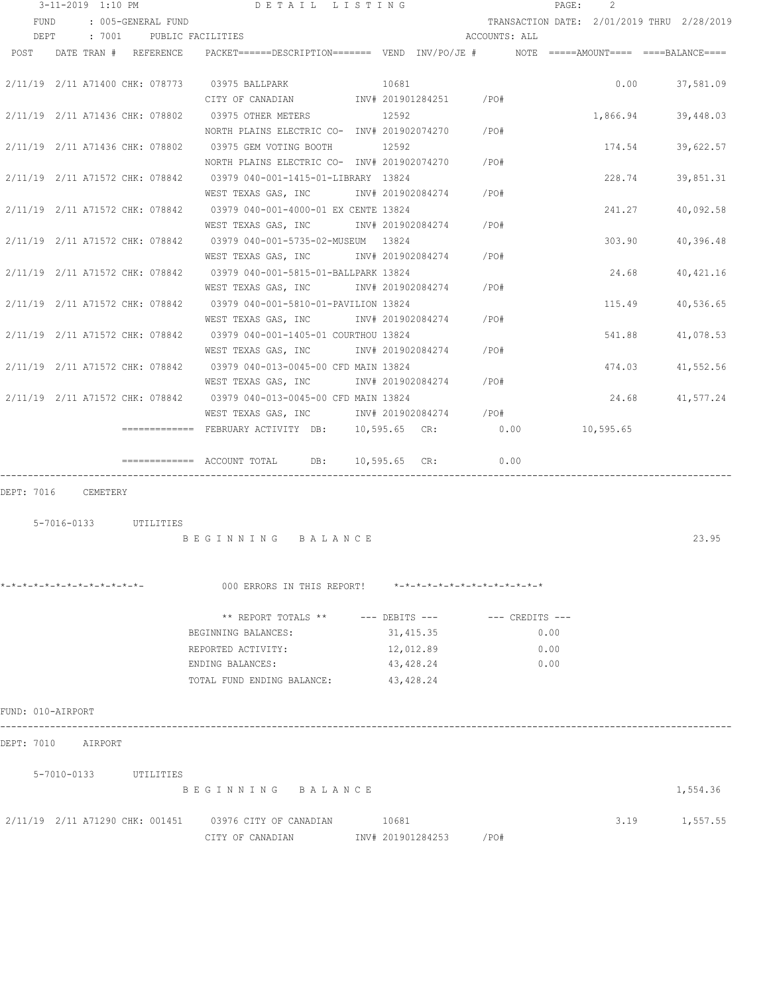| 3-11-2019 1:10 PM               |                          | DETAIL LISTING                                                                          |       |                               |               | PAGE: | 2         |                                            |
|---------------------------------|--------------------------|-----------------------------------------------------------------------------------------|-------|-------------------------------|---------------|-------|-----------|--------------------------------------------|
| <b>FUND</b>                     | : 005-GENERAL FUND       |                                                                                         |       |                               |               |       |           | TRANSACTION DATE: 2/01/2019 THRU 2/28/2019 |
| DEPT                            | : 7001 PUBLIC FACILITIES |                                                                                         |       |                               | ACCOUNTS: ALL |       |           |                                            |
| POST                            | DATE TRAN # REFERENCE    | PACKET======DESCRIPTION======= VEND INV/PO/JE #    NOTE =====AMOUNT==== ====BALANCE==== |       |                               |               |       |           |                                            |
|                                 |                          | 2/11/19 2/11 A71400 CHK: 078773 03975 BALLPARK                                          | 10681 |                               |               |       | 0.00      | 37,581.09                                  |
|                                 |                          | CITY OF CANADIAN 1NV# 201901284251 / PO#                                                |       |                               |               |       |           |                                            |
| 2/11/19 2/11 A71436 CHK: 078802 |                          | 03975 OTHER METERS                                                                      |       | 12592                         |               |       | 1,866.94  | 39,448.03                                  |
|                                 |                          | NORTH PLAINS ELECTRIC CO- INV# 201902074270 / PO#                                       |       |                               |               |       |           |                                            |
| 2/11/19 2/11 A71436 CHK: 078802 |                          | 03975 GEM VOTING BOOTH                                                                  |       | 12592                         |               |       | 174.54    | 39,622.57                                  |
|                                 |                          | NORTH PLAINS ELECTRIC CO- INV# 201902074270                                             |       |                               | /PO#          |       |           |                                            |
|                                 |                          | 2/11/19 2/11 A71572 CHK: 078842 03979 040-001-1415-01-LIBRARY 13824                     |       |                               |               |       | 228.74    | 39,851.31                                  |
|                                 |                          | WEST TEXAS GAS, INC                                                                     |       | INV# 201902084274             | /PO#          |       |           |                                            |
|                                 |                          | 2/11/19 2/11 A71572 CHK: 078842 03979 040-001-4000-01 EX CENTE 13824                    |       |                               |               |       | 241.27    | 40,092.58                                  |
|                                 |                          | WEST TEXAS GAS, INC                                                                     |       | INV# 201902084274             | /PO#          |       |           |                                            |
|                                 |                          | 2/11/19 2/11 A71572 CHK: 078842 03979 040-001-5735-02-MUSEUM 13824                      |       |                               |               |       | 303.90    | 40,396.48                                  |
|                                 |                          | WEST TEXAS GAS, INC                                                                     |       | INV# 201902084274             | /PO#          |       |           |                                            |
|                                 |                          | 2/11/19 2/11 A71572 CHK: 078842 03979 040-001-5815-01-BALLPARK 13824                    |       |                               |               |       | 24.68     | 40,421.16                                  |
|                                 |                          | WEST TEXAS GAS, INC                                                                     |       | INV# 201902084274 /PO#        |               |       |           |                                            |
|                                 |                          | 2/11/19 2/11 A71572 CHK: 078842 03979 040-001-5810-01-PAVILION 13824                    |       |                               |               |       | 115.49    | 40,536.65                                  |
|                                 |                          | WEST TEXAS GAS, INC MONTH 201902084274                                                  |       |                               | /PO#          |       |           |                                            |
|                                 |                          | 2/11/19 2/11 A71572 CHK: 078842 03979 040-001-1405-01 COURTHOU 13824                    |       |                               |               |       | 541.88    | 41,078.53                                  |
|                                 |                          | WEST TEXAS GAS, INC METH 201902084274                                                   |       |                               | /PO#          |       |           |                                            |
|                                 |                          | 2/11/19 2/11 A71572 CHK: 078842 03979 040-013-0045-00 CFD MAIN 13824                    |       |                               |               |       | 474.03    | 41,552.56                                  |
|                                 |                          | WEST TEXAS GAS, INC MONTH 201902084274                                                  |       |                               | /PO#          |       |           |                                            |
|                                 |                          | 2/11/19 2/11 A71572 CHK: 078842 03979 040-013-0045-00 CFD MAIN 13824                    |       |                               |               |       | 24.68     | 41,577.24                                  |
|                                 |                          | WEST TEXAS GAS, INC 1NV# 201902084274 / PO#                                             |       |                               |               |       |           |                                            |
|                                 |                          | ============= FEBRUARY ACTIVITY DB:      10,595.65 CR:                      0.00        |       |                               |               |       | 10,595.65 |                                            |
|                                 |                          |                                                                                         |       | $10,595.65$ CR:               | 0.00          |       |           |                                            |
| DEPT: 7016 CEMETERY             |                          |                                                                                         |       |                               |               |       |           |                                            |
|                                 |                          |                                                                                         |       |                               |               |       |           |                                            |
| 5-7016-0133 UTILITIES           |                          |                                                                                         |       |                               |               |       |           |                                            |
|                                 |                          | BEGINNING BALANCE                                                                       |       |                               |               |       |           | 23.95                                      |
|                                 |                          |                                                                                         |       |                               |               |       |           |                                            |
|                                 |                          |                                                                                         |       |                               |               |       |           |                                            |
| *-*-*-*-*-*-*-*-*-*-*-*-*-*-    |                          | 000 ERRORS IN THIS REPORT!                                                              |       | *-*-*-*-*-*-*-*-*-*-*-*-*-*-* |               |       |           |                                            |
|                                 |                          | ** REPORT TOTALS ** --- DEBITS --- -- -- CREDITS ---                                    |       |                               |               |       |           |                                            |
|                                 |                          | BEGINNING BALANCES:                                                                     |       | 31,415.35                     |               | 0.00  |           |                                            |
|                                 |                          | REPORTED ACTIVITY:                                                                      |       | 12,012.89                     |               | 0.00  |           |                                            |
|                                 |                          | ENDING BALANCES:                                                                        |       | 43,428.24                     |               | 0.00  |           |                                            |
|                                 |                          | TOTAL FUND ENDING BALANCE:                                                              |       | 43,428.24                     |               |       |           |                                            |
|                                 |                          |                                                                                         |       |                               |               |       |           |                                            |
| FUND: 010-AIRPORT               |                          |                                                                                         |       |                               |               |       |           |                                            |
| DEPT: 7010 AIRPORT              |                          |                                                                                         |       |                               |               |       |           |                                            |
|                                 |                          |                                                                                         |       |                               |               |       |           |                                            |
| 5-7010-0133 UTILITIES           |                          | BEGINNING BALANCE                                                                       |       |                               |               |       |           | 1,554.36                                   |
|                                 |                          |                                                                                         |       |                               |               |       |           |                                            |
|                                 |                          | 2/11/19 2/11 A71290 CHK: 001451 03976 CITY OF CANADIAN 10681                            |       |                               |               |       |           | 3.19 1,557.55                              |
|                                 |                          | CITY OF CANADIAN                                                                        |       | INV# 201901284253 /PO#        |               |       |           |                                            |
|                                 |                          |                                                                                         |       |                               |               |       |           |                                            |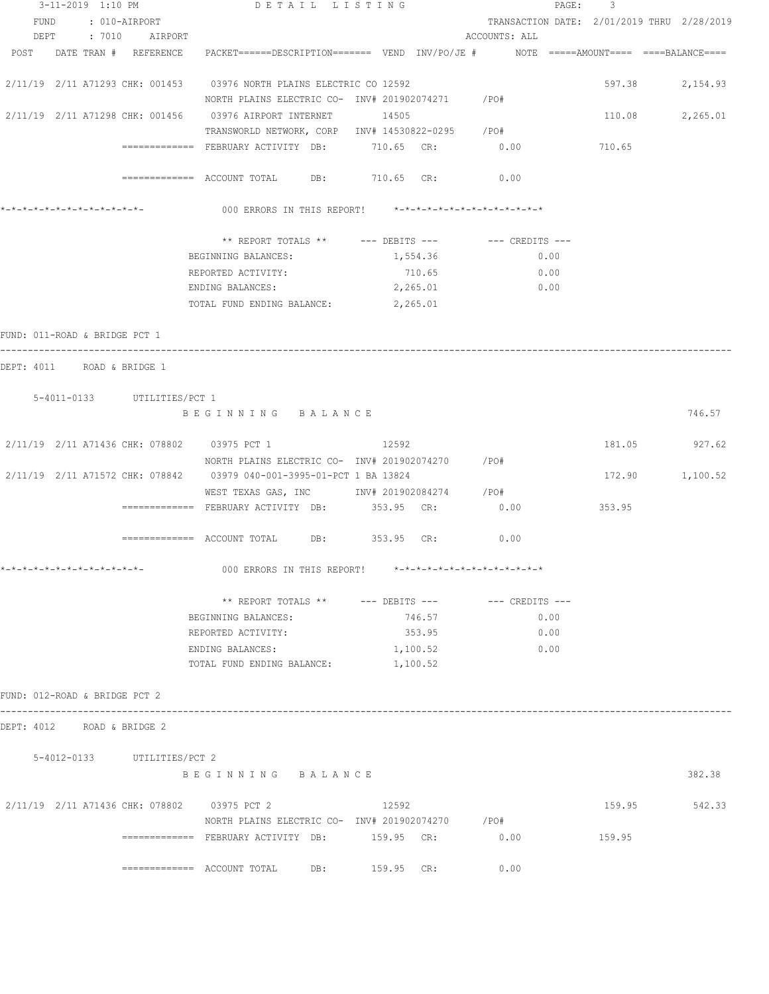| 3-11-2019 1:10 PM                                  | DETAIL LISTING                                                                                                  |          |                                            | PAGE: 3 |                 |
|----------------------------------------------------|-----------------------------------------------------------------------------------------------------------------|----------|--------------------------------------------|---------|-----------------|
| FUND : 010-AIRPORT                                 |                                                                                                                 |          | TRANSACTION DATE: 2/01/2019 THRU 2/28/2019 |         |                 |
| DEPT : 7010 AIRPORT                                |                                                                                                                 |          | ACCOUNTS: ALL                              |         |                 |
|                                                    | POST DATE TRAN # REFERENCE PACKET======DESCRIPTION======= VEND INV/PO/JE # NOTE =====AMOUNT==== ====BALANCE==== |          |                                            |         |                 |
|                                                    | 2/11/19 2/11 A71293 CHK: 001453 03976 NORTH PLAINS ELECTRIC CO 12592                                            |          |                                            |         | 597.38 2,154.93 |
|                                                    | NORTH PLAINS ELECTRIC CO- INV# 201902074271 / PO#                                                               |          |                                            |         |                 |
|                                                    | 2/11/19  2/11  A71298  CHK: 001456  03976  AIRPORT INTERNET  14505                                              |          |                                            |         | 110.08 2,265.01 |
|                                                    | TRANSWORLD NETWORK, CORP INV# 14530822-0295 /PO#                                                                |          |                                            |         |                 |
|                                                    | ============ FEBRUARY ACTIVITY DB: 710.65 CR: 0.00                                                              |          |                                            | 710.65  |                 |
|                                                    | ============ ACCOUNT TOTAL DB: 710.65 CR: 0.00                                                                  |          |                                            |         |                 |
|                                                    |                                                                                                                 |          |                                            |         |                 |
| *-*-*-*-*-*-*-*-*-*-*-*-*-*-                       | 000 ERRORS IN THIS REPORT! *-*-*-*-*-*-*-*-*-*-*-*-*-*-                                                         |          |                                            |         |                 |
|                                                    | ** REPORT TOTALS ** --- DEBITS --- -- -- CREDITS ---                                                            |          |                                            |         |                 |
|                                                    | BEGINNING BALANCES:                                                                                             | 1,554.36 | 0.00                                       |         |                 |
|                                                    | REPORTED ACTIVITY:                                                                                              | 710.65   | 0.00                                       |         |                 |
|                                                    | ENDING BALANCES:                                                                                                | 2,265.01 | 0.00                                       |         |                 |
|                                                    | TOTAL FUND ENDING BALANCE: 2,265.01                                                                             |          |                                            |         |                 |
| FUND: 011-ROAD & BRIDGE PCT 1                      |                                                                                                                 |          |                                            |         |                 |
| DEPT: 4011 ROAD & BRIDGE 1                         |                                                                                                                 |          |                                            |         |                 |
|                                                    |                                                                                                                 |          |                                            |         |                 |
| 5-4011-0133 UTILITIES/PCT 1                        | BEGINNING BALANCE                                                                                               |          |                                            |         | 746.57          |
|                                                    |                                                                                                                 |          |                                            |         |                 |
| 2/11/19  2/11  A71436  CHK:  078802  03975  PCT  1 |                                                                                                                 | 12592    |                                            |         | 181.05 927.62   |
|                                                    | NORTH PLAINS ELECTRIC CO- INV# 201902074270 / PO#                                                               |          |                                            |         |                 |
|                                                    | 2/11/19 2/11 A71572 CHK: 078842 03979 040-001-3995-01-PCT 1 BA 13824                                            |          |                                            |         | 172.90 1,100.52 |
|                                                    | WEST TEXAS GAS, INC MOTH 201902084274 / PO#                                                                     |          |                                            |         |                 |
|                                                    | ============= FEBRUARY ACTIVITY DB: 353.95 CR:                                                                  |          | 0.00                                       | 353.95  |                 |
|                                                    | ============= ACCOUNT TOTAL DB: 353.95 CR: 0.00                                                                 |          |                                            |         |                 |
| *_*_*_*_*_*_*_*_*_*_*_*_*_*_*                      | 000 ERRORS IN THIS REPORT! $*-*-*-*-*-*-*-*-*-*-*-*-*-*-**$                                                     |          |                                            |         |                 |
|                                                    |                                                                                                                 |          |                                            |         |                 |
|                                                    | ** REPORT TOTALS ** --- DEBITS --- -- -- CREDITS ---                                                            |          |                                            |         |                 |
|                                                    | BEGINNING BALANCES:                                                                                             | 746.57   | 0.00                                       |         |                 |
|                                                    | REPORTED ACTIVITY:                                                                                              | 353.95   | 0.00                                       |         |                 |
|                                                    | ENDING BALANCES:                                                                                                | 1,100.52 | 0.00                                       |         |                 |
|                                                    | TOTAL FUND ENDING BALANCE:                                                                                      | 1,100.52 |                                            |         |                 |
| FUND: 012-ROAD & BRIDGE PCT 2                      |                                                                                                                 |          |                                            |         |                 |
|                                                    |                                                                                                                 |          |                                            |         |                 |
| DEPT: 4012 ROAD & BRIDGE 2                         |                                                                                                                 |          |                                            |         |                 |
| 5-4012-0133 UTILITIES/PCT 2                        |                                                                                                                 |          |                                            |         |                 |
|                                                    | BEGINNING BALANCE                                                                                               |          |                                            |         | 382.38          |
|                                                    |                                                                                                                 |          |                                            |         |                 |
| 2/11/19  2/11  A71436  CHK:  078802  03975  PCT  2 | NORTH PLAINS ELECTRIC CO- INV# 201902074270 / PO#                                                               | 12592    |                                            | 159.95  | 542.33          |
|                                                    |                                                                                                                 |          | 0.00                                       | 159.95  |                 |
|                                                    |                                                                                                                 |          |                                            |         |                 |
|                                                    | ============= ACCOUNT TOTAL DB: 159.95 CR:                                                                      |          | 0.00                                       |         |                 |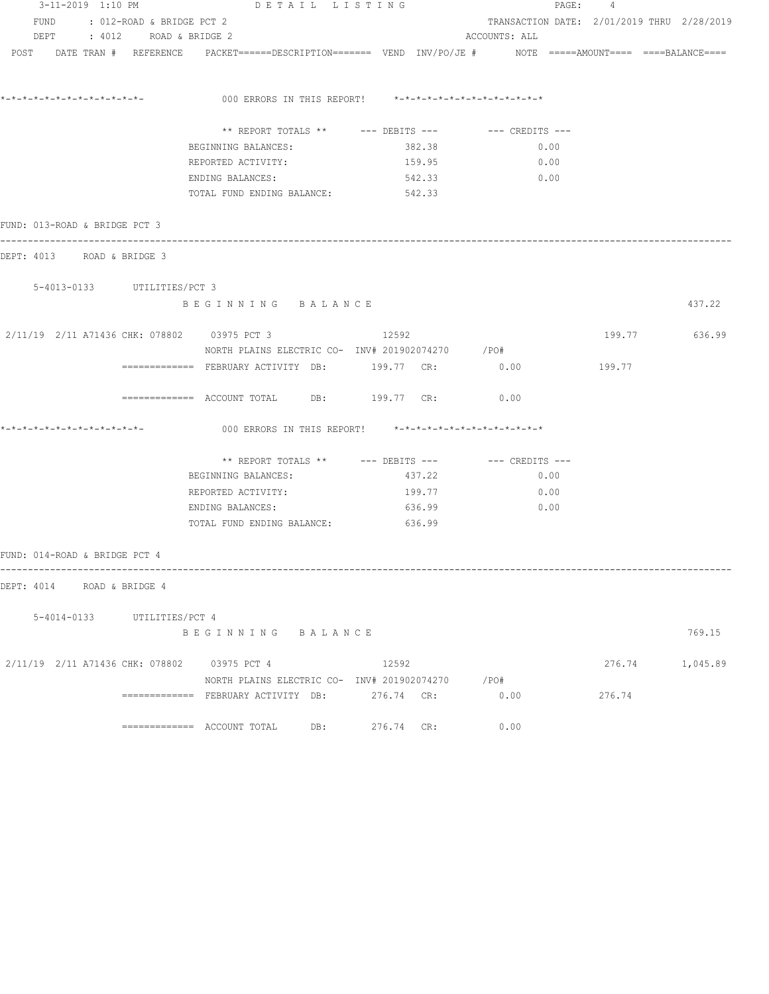| 3-11-2019 1:10 PM                                | DETAIL LISTING                                                                                                                                                     |                                                         |                                            | PAGE: 4 |                 |
|--------------------------------------------------|--------------------------------------------------------------------------------------------------------------------------------------------------------------------|---------------------------------------------------------|--------------------------------------------|---------|-----------------|
| FUND : 012-ROAD & BRIDGE PCT 2                   |                                                                                                                                                                    |                                                         | TRANSACTION DATE: 2/01/2019 THRU 2/28/2019 |         |                 |
| DEPT : 4012 ROAD & BRIDGE 2                      |                                                                                                                                                                    |                                                         | ACCOUNTS: ALL                              |         |                 |
|                                                  | $POST$ $DATA$ $\#$ $REFERENCE$ $PACKET$ $=$ $=$ $=$ $DESCRIPTION$ $=$ $=$ $=$ $VEND$ $INV/PO/JE$ $\#$ $NOTE$ $=$ $=$ $=$ $=$ $=$ $=$ $=$ $=$ $=$ $BALANCE$ $=$ $=$ |                                                         |                                            |         |                 |
|                                                  |                                                                                                                                                                    |                                                         |                                            |         |                 |
|                                                  |                                                                                                                                                                    |                                                         |                                            |         |                 |
|                                                  |                                                                                                                                                                    | 000 ERRORS IN THIS REPORT! *-*-*-*-*-*-*-*-*-*-*-*-*-*- |                                            |         |                 |
|                                                  |                                                                                                                                                                    |                                                         |                                            |         |                 |
|                                                  |                                                                                                                                                                    | ** REPORT TOTALS ** --- DEBITS --- -- -- CREDITS ---    |                                            |         |                 |
|                                                  | BEGINNING BALANCES:                                                                                                                                                | 382.38                                                  | 0.00                                       |         |                 |
|                                                  | REPORTED ACTIVITY:                                                                                                                                                 | 159.95                                                  | 0.00                                       |         |                 |
|                                                  | ENDING BALANCES:                                                                                                                                                   | 542.33                                                  | 0.00                                       |         |                 |
|                                                  | TOTAL FUND ENDING BALANCE: 542.33                                                                                                                                  |                                                         |                                            |         |                 |
|                                                  |                                                                                                                                                                    |                                                         |                                            |         |                 |
| FUND: 013-ROAD & BRIDGE PCT 3                    |                                                                                                                                                                    |                                                         |                                            |         |                 |
| DEPT: 4013 ROAD & BRIDGE 3                       |                                                                                                                                                                    |                                                         |                                            |         |                 |
|                                                  |                                                                                                                                                                    |                                                         |                                            |         |                 |
| 5-4013-0133 UTILITIES/PCT 3                      |                                                                                                                                                                    |                                                         |                                            |         |                 |
|                                                  | BEGINNING BALANCE                                                                                                                                                  |                                                         |                                            |         | 437.22          |
|                                                  |                                                                                                                                                                    |                                                         |                                            |         |                 |
| 2/11/19  2/11  A71436  CHK: 078802  03975  PCT 3 |                                                                                                                                                                    | 12592                                                   |                                            |         | 199.77 636.99   |
|                                                  | NORTH PLAINS ELECTRIC CO- INV# 201902074270 / PO#                                                                                                                  |                                                         |                                            |         |                 |
|                                                  | ============ FEBRUARY ACTIVITY DB: 199.77 CR: 0.00                                                                                                                 |                                                         |                                            | 199.77  |                 |
|                                                  |                                                                                                                                                                    |                                                         |                                            |         |                 |
|                                                  | ============= ACCOUNT TOTAL DB: 199.77 CR: 0.00                                                                                                                    |                                                         |                                            |         |                 |
|                                                  |                                                                                                                                                                    |                                                         |                                            |         |                 |
|                                                  |                                                                                                                                                                    | 000 ERRORS IN THIS REPORT! *-*-*-*-*-*-*-*-*-*-*-*-*-*- |                                            |         |                 |
|                                                  |                                                                                                                                                                    |                                                         |                                            |         |                 |
|                                                  |                                                                                                                                                                    |                                                         |                                            |         |                 |
|                                                  | BEGINNING BALANCES:                                                                                                                                                | 437.22                                                  | 0.00                                       |         |                 |
|                                                  | REPORTED ACTIVITY:                                                                                                                                                 | 199.77                                                  | 0.00                                       |         |                 |
|                                                  | ENDING BALANCES:                                                                                                                                                   | 636.99                                                  | 0.00                                       |         |                 |
|                                                  | TOTAL FUND ENDING BALANCE: 636.99                                                                                                                                  |                                                         |                                            |         |                 |
|                                                  |                                                                                                                                                                    |                                                         |                                            |         |                 |
| FUND: 014-ROAD & BRIDGE PCT 4                    |                                                                                                                                                                    |                                                         |                                            |         |                 |
|                                                  |                                                                                                                                                                    |                                                         |                                            |         |                 |
| DEPT: 4014 ROAD & BRIDGE 4                       |                                                                                                                                                                    |                                                         |                                            |         |                 |
| 5-4014-0133 UTILITIES/PCT 4                      |                                                                                                                                                                    |                                                         |                                            |         |                 |
|                                                  | BEGINNING BALANCE                                                                                                                                                  |                                                         |                                            |         | 769.15          |
|                                                  |                                                                                                                                                                    |                                                         |                                            |         |                 |
| 2/11/19 2/11 A71436 CHK: 078802 03975 PCT 4      |                                                                                                                                                                    | 12592                                                   |                                            |         | 276.74 1,045.89 |
|                                                  |                                                                                                                                                                    | NORTH PLAINS ELECTRIC CO- INV# 201902074270 / PO#       |                                            |         |                 |
|                                                  | ============= FEBRUARY ACTIVITY DB: 276.74 CR:                                                                                                                     |                                                         | 0.00                                       | 276.74  |                 |
|                                                  |                                                                                                                                                                    |                                                         |                                            |         |                 |
|                                                  |                                                                                                                                                                    | 276.74 CR:                                              | 0.00                                       |         |                 |